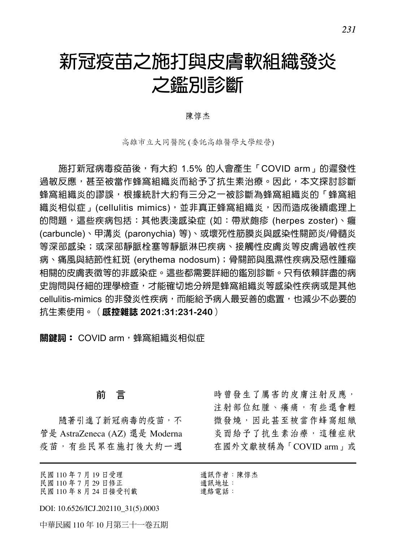# 新冠疫苗之施打與皮膚軟組織發炎 之鑑別診斷

陳惇杰

高雄市立大同醫院 (委託高雄醫學大學經營)

施打新冠病毒疫苗後,有大約 1.5% 的人會產生「COVID arm」的遲發性 過敏反應,甚至被當作蜂窩組織炎而給予了抗生素治療。因此,本文探討診斷 蜂窩組織炎的謬誤,根據統計大約有三分之一被診斷為蜂窩組織炎的「蜂窩組 織炎相似症」(cellulitis mimics),並非真正蜂窩組織炎,因而造成後續處理上 的問題,這些疾病包括:其他表淺感染症 (如:帶狀皰疹 (herpes zoster)、癰 (carbuncle)、甲溝炎 (paronychia) 等)、或壞死性筋膜炎與感染性關節炎/骨髓炎 等深部感染;或深部靜脈栓塞等靜脈淋巴疾病、接觸性皮膚炎等皮膚過敏性疾 病、痛風與結節性紅斑 (erythema nodosum);骨關節與風濕性疾病及惡性腫瘤 相關的皮膚表徵等的非感染症。這些都需要詳細的鑑別診斷。只有依賴詳盡的病 史詢問與仔細的理學檢查,才能確切地分辨是蜂窩組織炎等感染性疾病或是其他 cellulitis-mimics 的非發炎性疾病,而能給予病人最妥善的處置,也減少不必要的 抗生素使用。(感控雜誌 **2021:31:231-240**)

關鍵詞: COVID arm, 蜂窩組織炎相似症

#### 前 言

隨著引進了新冠病毒的疫苗,不 管是 AstraZeneca (AZ) 還是 Moderna 疫苗,有些民眾在施打後大約一週

民國 110 年 7 月 19 日受理 民國 110 年 7 月 29 日修正 民國 110 年 8 月 24 日接受刊載

DOI: 10.6526/ICJ.202110\_31(5).0003

中華民國 110 年 10 月第三十一卷五期

時曾發生了厲害的皮膚注射反應, 注射部位紅腫、癢痛,有些還會輕 微發燒,因此甚至被當作蜂窩組織 炎而給予了抗生素治療,這種症狀 在國外文獻被稱為「COVID arm」或

通訊作者:陳惇杰 通訊地址: 連絡電話: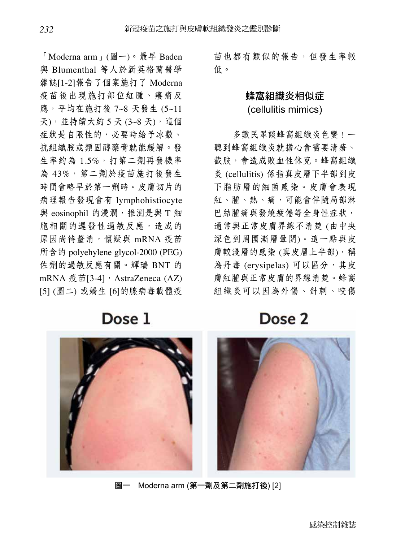「Moderna arm」(圖一)。最早 Baden 與 Blumenthal 等人於新英格蘭醫學 雜誌[1-2]報告了個案施打了 Moderna 疫苗後出現施打部位紅腫、癢痛反 應,平均在施打後 7~8 天發生 (5~11 天),並持續大約 5 天 (3~8 天),這個 症狀是自限性的,必要時給予冰敷、 抗組織胺或類固醇藥膏就能緩解。發 生率約為 1.5%,打第二劑再發機率 為 43%,第二劑於疫苗施打後發生 時間會略早於第一劑時。皮膚切片的 病理報告發現會有 lymphohistiocyte 與 eosinophil 的浸潤, 推測是與 T 細 胞相關的遲發性過敏反應,造成的 原因尚待釐清,懷疑與 mRNA 疫苗 所含的 polyehylene glycol-2000 (PEG) 佐劑的過敏反應有關。輝瑞 BNT 的 mRNA 疫苗[3-4], AstraZeneca (AZ) [5] (圖二) 或嬌生 [6]的腺病毒載體疫

苗也都有類似的報告,但發生率較 低。

## 蜂窩組織炎相似症 (cellulitis mimics)

多數民眾談蜂窩組織炎色變!一 聽到蜂窩組織炎就擔心會需要清瘡、 截肢,會造成敗血性休克。蜂窩組織 炎 (cellulitis) 係指真皮層下半部到皮 下脂肪層的細菌感染。皮膚會表現 紅、腫、熱、痛,可能會伴隨局部淋 巴結腫痛與發燒疲倦等全身性症狀, 通常與正常皮膚界線不清楚 (由中央 深色到周圍漸層暈開)。這一點與皮 膚較淺層的感染 (真皮層上半部),稱 為丹毒 (erysipelas) 可以區分, 其皮 膚紅腫與正常皮膚的界線清楚。蜂窩 組織炎可以因為外傷、針刺、咬傷

Dose<sub>2</sub>



Dose 1



圖一 Moderna arm (第一劑及第二劑施打後) [2]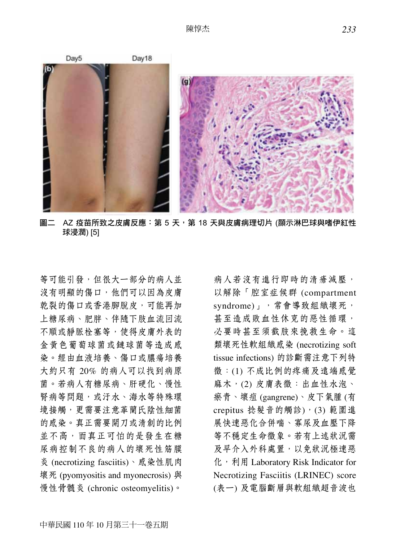

圖二 AZ 疫苗所致之皮膚反應: 第 5 天, 第 18 天與皮膚病理切片 (顯示淋巴球與嗜伊紅性 球浸潤) [5]

等可能引發,但很大一部分的病人並 沒有明顯的傷口,他們可以因為皮膚 乾裂的傷口或香港腳脫皮,可能再加 上糖尿病、肥胖、伴隨下肢血流回流 不順或靜脈栓塞等,使得皮膚外表的 金黃色葡萄球菌或鏈球菌等造成感 染。經由血液培養、傷口或膿瘍培養 大約只有 20% 的病人可以找到病原 菌。若病人有糖尿病、肝硬化、慢性 腎病等問題,或汙水、海水等特殊環 境接觸,更需要注意革蘭氏陰性細菌 的感染。真正需要開刀或清創的比例 並不高,而真正可怕的是發生在糖 尿病控制不良的病人的壞死性筋膜 炎 (necrotizing fasciitis)、感染性肌肉 壞死 (pyomyositis and myonecrosis) 與 慢性骨髓炎 (chronic osteomyelitis)。

病人若沒有進行即時的清瘡減壓, 以解除「腔室症候群 (compartment syndrome)」, 常會導致組織壞死, 甚至造成敗血性休克的惡性循環, 必要時甚至須截肢來挽救生命。這 類壞死性軟組織感染 (necrotizing soft tissue infections) 的診斷需注意下列特 徵:(1) 不成比例的疼痛及遠端感覺 麻木,(2) 皮膚表徵:出血性水泡、 瘀青、壞疽 (gangrene)、皮下氣腫 (有 crepitus 捻髮音的觸診), (3) 範圍進 展快速惡化合併喘、寡尿及血壓下降 等不穩定生命徵象。若有上述狀況需 及早介入外科處置,以免狀況極速惡 化, 利用 Laboratory Risk Indicator for Necrotizing Fasciitis (LRINEC) score (表一) 及電腦斷層與軟組織超音波也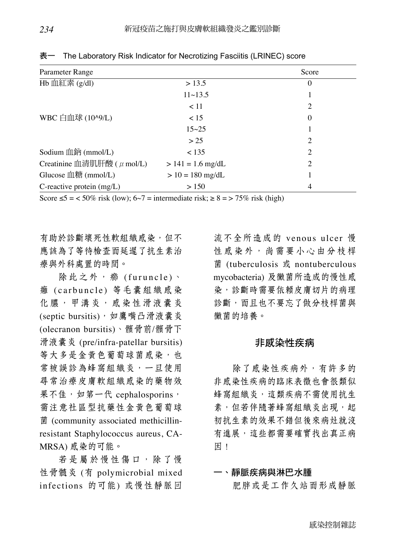| Parameter Range                 |                     | Score            |
|---------------------------------|---------------------|------------------|
| Hb 血紅素 $(g/dl)$                 | > 13.5              | $\boldsymbol{0}$ |
|                                 | 11~13.5             |                  |
|                                 | < 11                | 2                |
| WBC 白血球 (10^9/L)                | 15                  | $\Omega$         |
|                                 | $15 - 25$           |                  |
|                                 | > 25                | 2                |
| Sodium 血鈉 (mmol/L)              | < 135               | 2                |
| Creatinine 血清肌肝酸 ( $\mu$ mol/L) | $> 141 = 1.6$ mg/dL | $\overline{2}$   |
| Glucose 血糖 (mmol/L)             | $> 10 = 180$ mg/dL  |                  |
| C-reactive protein (mg/L)       | > 150               | 4                |

表一 The Laboratory Risk Indicator for Necrotizing Fasciitis (LRINEC) score

Score  $\leq 5$  = < 50% risk (low); 6~7 = intermediate risk;  $\geq 8$  = > 75% risk (high)

有助於診斷壞死性軟組織感染,但不 應該為了等待檢查而延遲了抗生素治 療與外科處置的時間。

除此之外, 癤 (furuncle)、 癰 (carbuncle) 等毛囊組織感染 化膿,甲溝炎,感染性滑液囊炎 (septic bursitis), 如鷹嘴凸滑液囊炎 (olecranon bursitis)、髕骨前/髕骨下 滑液囊炎 (pre/infra-patellar bursitis) 等大多是金黄色葡萄球菌感染,也 常被誤診為蜂窩組織炎,一旦使用 尋常治療皮膚軟組織感染的藥物效 果不佳,如第一代 cephalosporins, 需注意社區型抗藥性金黃色葡萄球 菌 (community associated methicillinresistant Staphylococcus aureus, CA-MRSA) 感染的可能。

若是屬於慢性傷口,除了慢 性骨髓炎 (有 polymicrobial mixed infections 的可能) 或慢性靜脈回

流不全所造成的 venous ulcer 慢 性感染外,尚需要小心由分枝桿 菌 (tuberculosis 或 nontuberculous mycobacteria) 及黴菌所造成的慢性感 染,診斷時需要依賴皮膚切片的病理 診斷,而且也不要忘了做分枝桿菌與 黴菌的培養。

## 非感染性疾病

除了感染性疾病外,有許多的 非感染性疾病的臨床表徵也會很類似 蜂窩組織炎,這類疾病不需使用抗生 素,但若伴隨著蜂窩組織炎出現,起 初抗生素的效果不錯但後來病灶就沒 有進展,這些都需要確實找出真正病 因!

## 一、靜脈疾病與淋巴水腫 肥胖或是工作久站而形成靜脈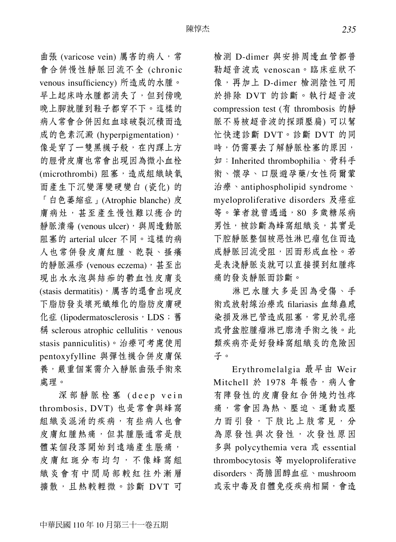曲張 (varicose vein) 厲害的病人,常 會合併慢性靜脈回流不全 (chronic venous insufficiency) 所造成的水腫。 早上起床時水腫都消失了,但到傍晚 晚上腳就腫到鞋子都穿不下。這樣的 病人常會合併因紅血球破裂沉積而造 成的色素沉澱 (hyperpigmentation), 像是穿了一雙黑襪子般,在內踝上方 的脛骨皮膚也常會出現因為微小血栓 (microthrombi) 阻塞,造成組織缺氧 而產生下沉變薄變硬變白 (瓷化) 的 「白色萎縮症」(Atrophie blanche) 皮 膚病灶,甚至產生慢性難以癒合的 靜脈潰瘍 (venous ulcer), 與周邊動脈 阻塞的 arterial ulcer 不同。這樣的病 人也常併發皮膚紅腫、乾裂、搔癢 的靜脈濕疹 (venous eczema),甚至出 現出水水泡與結痂的鬱血性皮膚炎 (stasis dermatitis),厲害的還會出現皮 下脂肪發炎壞死纖維化的脂肪皮膚硬 化症 (lipodermatosclerosis, LDS; 舊 稱 sclerous atrophic cellulitis, venous stasis panniculitis)。治療可考慮使用 pentoxyfylline 與彈性襪合併皮膚保 養,嚴重個案需介入靜脈曲張手術來 處理。

深部靜脈栓塞 (deep vein thrombosis, DVT) 也是常會與蜂窩 組織炎混淆的疾病,有些病人也會 皮膚紅腫熱痛,但其腫脹通常是肢 體某個段落開始到遠端產生脹痛, 皮膚紅斑分布均匀,不像蜂窩組 織炎會有中間局部較紅往外漸層 擴散,且熱較輕微。診斷 DVT 可

檢測 D-dimer 與安排周邊血管都普 勒超音波或 venoscan。臨床症狀不 像,再加上 D-dimer 檢測陰性可用 於排除 DVT 的診斷。執行超音波 compression test (有 thrombosis 的靜 脈不易被超音波的探頭壓扁) 可以幫 忙快速診斷 DVT。診斷 DVT 的同 時,仍需要去了解靜脈栓塞的原因, 如:Inherited thrombophilia、骨科手 術、懷孕、口服避孕藥/女性荷爾蒙 治療、antiphospholipid syndrome、 myeloproliferative disorders 及癌症 等。筆者就曾遇過,80 多歲糖尿病 男性,被診斷為蜂窩組織炎,其實是 下腔靜脈整個被惡性淋巴瘤包住而造 成靜脈回流受阻,因而形成血栓。若 是表淺靜脈炎就可以直接摸到紅腫疼 痛的發炎靜脈而診斷。

淋巴水腫大多是因為受傷、手 術或放射線治療或 filariasis 血絲蟲感 染損及淋巴管造成阻塞,常見於乳癌 或骨盆腔腫瘤淋巴廓清手術之後。此 類疾病亦是好發蜂窩組織炎的危險因 子。

Erythromelalgia 最早由 Weir Mitchell 於 1978 年報告, 病人會 有陣發性的皮膚發紅合併燒灼性疼 痛,常會因為熱、壓迫、運動或壓 力而引發,下肢比上肢常見,分 為原發性與次發性,次發性原因 多與 polycythemia vera 或 essential thrombocytosis 等 myeloproliferative disorders、高膽固醇血症、mushroom 或汞中毒及自體免疫疾病相關,會造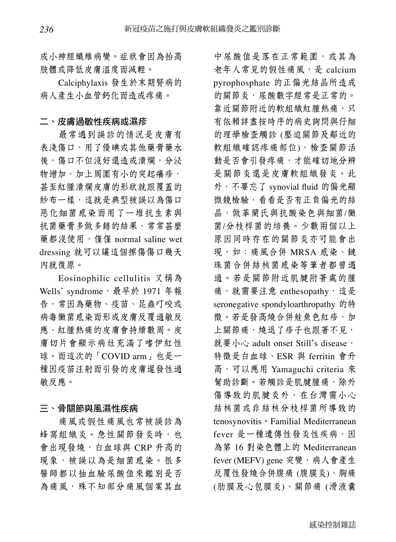成小神經纖維病變。症狀會因為抬高 肢體或降低皮膚溫度而減輕。

Calciphylaxis 發生於末期腎病的 病人產生小血管鈣化而造成疼痛。

#### 二、皮膚過敏性疾病或濕疹

最常遇到誤診的情況是皮膚有 表淺傷口,用了優碘或其他藥膏藥水 後,傷口不但沒好還造成潰爛,分泌 物增加,加上周圍有小的突起癢疹, 甚至紅腫潰爛皮膚的形狀就跟覆蓋的 紗布一樣,這就是典型被誤以為傷口 惡化細菌感染而用了一堆抗生素與 抗菌藥膏多做多錯的結果,常常甚麼 藥都沒使用,僅僅 normal saline wet dressing 就可以讓這個擦傷傷口幾天 內就復原。

Eosinophilic cellulitis 又稱為 Wells' syndrome, 最早於 1971 年報 告,常因為藥物、疫苗、昆蟲叮咬或 病毒黴菌感染而形成皮膚反覆過敏反 應,紅腫熱痛的皮膚會持續數周。皮 膚切片會顯示病灶充滿了嗜伊紅性 球。而這次的「COVID arm」也是一 種因疫苗注射而引發的皮膚遲發性過 敏反應。

#### 三、骨關節與風濕性疾病

痛風或假性痛風也常被誤診為 蜂窩組織炎。急性關節發炎時,也 會出現發燒,白血球與 CRP 升高的 現象,被誤以為是細菌感染。很多 醫師都以抽血驗尿酸值來鑑別是否 為痛風,殊不知部分痛風個案其血

中尿酸值是落在正常範圍,或其為 老年人常見的假性痛風,是 calcium pyrophosphate 的正偏光結晶所造成 的關節炎,尿酸數字經常是正常的。 靠近關節附近的軟組織紅腫熱痛,只 有依賴詳盡按時序的病史詢問與仔細 的理學檢查觸診 (壓迫關節及鄰近的 軟組織確認疼痛部位),檢查關節活 動是否會引發疼痛,才能確切地分辨 是關節炎還是皮膚軟組織發炎。此 外,不要忘了 synovial fluid 的偏光顯 微鏡檢驗,看看是否有正負偏光的結 晶,做革蘭氏與抗酸染色與細菌/黴 菌/分枝桿菌的培養。少數兩個以上 原因同時存在的關節炎亦可能會出 現,如:痛風合併 MRSA 感染、鏈 珠菌合併結核菌感染等筆者都曾遇 過。若是關節附近肌腱附著處的腫 痛,就需要注意 enthesopathy,這是 seronegative spondyloarthropathy 的特 徵。若是發高燒合併鮭魚色紅疹,加 上關節痛,燒退了疹子也跟著不見, 就要小心 adult onset Still's disease, 特徵是白血球、ESR 與 ferritin 會升 高,可以應用 Yamaguchi criteria 來 幫助診斷。若觸診是肌腱腫痛,除外 傷導致的肌腱炎外,在台灣需小心 結核菌或非結核分枝桿菌所導致的 tenosynovitis。Familial Mediterranean fever 是一種遺傳性發炎性疾病,因 為第 16 對染色體上的 Mediterranean fever (MEFV) gene 突變, 病人會產生 反覆性發燒合併腹痛 (腹膜炎)、胸痛 (肋膜及心包膜炎)、關節痛 (滑液囊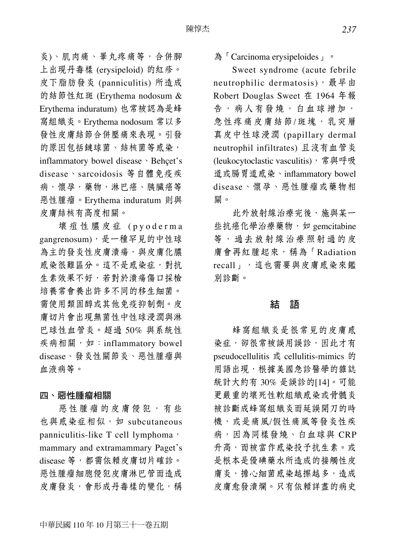炎)、肌肉痛、睪丸疼痛等,合併腳 上出現丹毒樣 (erysipeloid) 的紅疹。 皮下脂肪發炎 (panniculitis) 所造成 的結節性紅斑 (Erythema nodosum & Erythema induratum) 也常被認為是蜂 窩組織炎。Erythema nodosum 常以多 發性皮膚結節合併壓痛來表現。引發 的原因包括鏈球菌、結核菌等感染, inflammatory bowel disease、Behçet's disease、sarcoidosis 等自體免疫疾 病,懷孕,藥物,淋巴癌、胰臟癌等 惡性腫瘤。Erythema induratum 則與 皮膚結核有高度相關。

壞疽性膿皮症 (pyoderma gangrenosum), 是一種罕見的中性球 為主的發炎性皮膚潰瘍,與皮膚化膿 感染很難區分。這不是感染症,對抗 生素效果不好,若對於潰瘍傷口採檢 培養常會養出許多不同的移生細菌。 需使用類固醇或其他免疫抑制劑。皮 膚切片會出現無菌性中性球浸潤與淋 巴球性血管炎。超過 50% 與系統性 疾病相關, 如: inflammatory bowel disease、發炎性關節炎、惡性腫瘤與 血液病等。

#### 四、惡性腫瘤相關

惡性腫瘤的皮膚侵犯,有些 也與感染症相似,如 subcutaneous panniculitis-like T cell lymphoma, mammary and extramammary Paget's disease 等,都需依賴皮膚切片確診。 惡性腫瘤細胞侵犯皮膚淋巴管而造成 皮膚發炎,會形成丹毒樣的變化,稱

## 為「Carcinoma erysipeloides」。

Sweet syndrome (acute febrile neutrophilic dermatosis), 最早由 Robert Douglas Sweet 在 1964 年報 告,病人有發燒,白血球增加, 急性疼痛皮膚結節/斑塊,乳突層 真皮中性球浸潤 (papillary dermal neutrophil infiltrates) 且沒有血管炎 (leukocytoclastic vasculitis), 常與呼吸 道或腸胃道感染、inflammatory bowel disease、懷孕、惡性腫瘤或藥物相 關。

此外放射線治療完後,施與某一 些抗癌化學治療藥物,如 gemcitabine 等,過去放射線治療照射過的皮 膚會再紅腫起來,稱為「Radiation recall」,這也需要與皮膚感染來鑑 別診斷。

#### 結 語

蜂窩組織炎是很常見的皮膚感 染症,卻很常被誤用誤診,因此才有 pseudocellulitis 或 cellulitis-mimics 的 用語出現,根據美國急診醫學的雜誌 統計大約有 30% 是誤診的[14]。可能 更嚴重的壞死性軟組織感染或骨髓炎 被診斷成蜂窩組織炎而延誤開刀的時 機,或是痛風/假性痛風等發炎性疾 病,因為同樣發燒、白血球與 CRP 升高,而被當作感染投予抗生素。或 是根本是優碘藥水所造成的接觸性皮 膚炎,擔心細菌感染越擦越多,造成 皮膚愈發潰爛。只有依賴詳盡的病史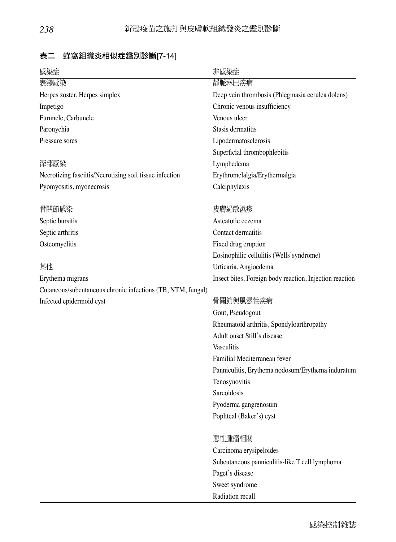| 感染症                                                         | 非感染症                                                    |  |
|-------------------------------------------------------------|---------------------------------------------------------|--|
| 表淺感染                                                        | 靜脈淋巴疾病                                                  |  |
| Herpes zoster, Herpes simplex                               | Deep vein thrombosis (Phlegmasia cerulea dolens)        |  |
| Impetigo                                                    | Chronic venous insufficiency                            |  |
| Furuncle, Carbuncle                                         | Venous ulcer                                            |  |
| Paronychia                                                  | Stasis dermatitis                                       |  |
| Pressure sores                                              | Lipodermatosclerosis                                    |  |
|                                                             | Superficial thrombophlebitis                            |  |
| 深部感染                                                        | Lymphedema                                              |  |
| Necrotizing fasciitis/Necrotizing soft tissue infection     | Erythromelalgia/Erythermalgia                           |  |
| Pyomyositis, myonecrosis                                    | Calciphylaxis                                           |  |
| 骨關節感染                                                       | 皮膚過敏濕疹                                                  |  |
| Septic bursitis                                             | Asteatotic eczema                                       |  |
| Septic arthritis                                            | Contact dermatitis                                      |  |
| Osteomyelitis                                               | Fixed drug eruption                                     |  |
|                                                             | Eosinophilic cellulitis (Wells' syndrome)               |  |
| 其他                                                          | Urticaria, Angioedema                                   |  |
| Erythema migrans                                            | Insect bites, Foreign body reaction, Injection reaction |  |
| Cutaneous/subcutaneous chronic infections (TB, NTM, fungal) |                                                         |  |
| Infected epidermoid cyst                                    | 骨關節與風濕性疾病                                               |  |
|                                                             | Gout, Pseudogout                                        |  |
|                                                             | Rheumatoid arthritis, Spondyloarthropathy               |  |
|                                                             | Adult onset Still's disease                             |  |
|                                                             | Vasculitis                                              |  |
|                                                             | Familial Mediterranean fever                            |  |
|                                                             | Panniculitis, Erythema nodosum/Erythema induratum       |  |
|                                                             | Tenosynovitis                                           |  |
|                                                             | Sarcoidosis                                             |  |
|                                                             | Pyoderma gangrenosum                                    |  |
|                                                             | Popliteal (Baker's) cyst                                |  |
|                                                             | 惡性腫瘤相關                                                  |  |
|                                                             | Carcinoma erysipeloides                                 |  |
|                                                             | Subcutaneous panniculitis-like T cell lymphoma          |  |
|                                                             | Paget's disease                                         |  |
|                                                             | Sweet syndrome                                          |  |
|                                                             | Radiation recall                                        |  |

## 表二 蜂窩組織炎相似症鑑別診斷[7-14]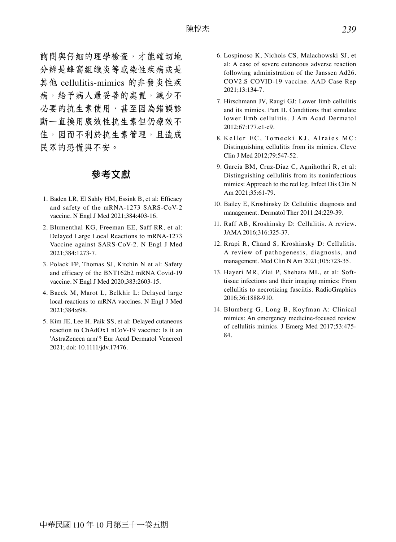詢問與仔細的理學檢查,才能確切地 分辨是蜂窩組織炎等感染性疾病或是 其他 cellulitis-mimics 的非發炎性疾 病,給予病人最妥善的處置,減少不 必要的抗生素使用,甚至因為錯誤診 斷一直換用廣效性抗生素但仍療效不 佳,因而不利於抗生素管理,且造成 民眾的恐慌與不安。

#### 參考文獻

- 1. Baden LR, El Sahly HM, Essink B, et al: Efficacy and safety of the mRNA-1273 SARS-CoV-2 vaccine. N Engl J Med 2021;384:403-16.
- 2. Blumenthal KG, Freeman EE, Saff RR, et al: Delayed Large Local Reactions to mRNA-1273 Vaccine against SARS-CoV-2. N Engl J Med 2021;384:1273-7.
- 3. Polack FP, Thomas SJ, Kitchin N et al: Safety and efficacy of the BNT162b2 mRNA Covid-19 vaccine. N Engl J Med 2020;383:2603-15.
- 4. Baeck M, Marot L, Belkhir L: Delayed large local reactions to mRNA vaccines. N Engl J Med 2021;384:e98.
- 5. Kim JE, Lee H, Paik SS, et al: Delayed cutaneous reaction to ChAdOx1 nCoV-19 vaccine: Is it an 'AstraZeneca arm'? Eur Acad Dermatol Venereol 2021; doi: 10.1111/jdv.17476.
- 6. Lospinoso K, Nichols CS, Malachowski SJ, et al: A case of severe cutaneous adverse reaction following administration of the Janssen Ad26. COV2.S COVID-19 vaccine. AAD Case Rep 2021;13:134-7.
- 7. Hirschmann JV, Raugi GJ: Lower limb cellulitis and its mimics. Part II. Conditions that simulate lower limb cellulitis. J Am Acad Dermatol 2012;67:177.e1-e9.
- 8. Keller EC, Tomecki KJ, Alraies MC: Distinguishing cellulitis from its mimics. Cleve Clin J Med 2012;79:547-52.
- 9. Garcia BM, Cruz-Diaz C, Agnihothri R, et al: Distinguishing cellulitis from its noninfectious mimics: Approach to the red leg. Infect Dis Clin N Am 2021;35:61-79.
- 10. Bailey E, Kroshinsky D: Cellulitis: diagnosis and management. Dermatol Ther 2011;24:229-39.
- 11. Raff AB, Kroshinsky D: Cellulitis. A review. JAMA 2016;316:325-37.
- 12. Rrapi R, Chand S, Kroshinsky D: Cellulitis. A review of pathogenesis, diagnosis, and management. Med Clin N Am 2021;105:723-35.
- 13. Hayeri MR, Ziai P, Shehata ML, et al: Softtissue infections and their imaging mimics: From cellulitis to necrotizing fasciitis. RadioGraphics 2016;36:1888-910.
- 14. Blumberg G, Long B, Koyfman A: Clinical mimics: An emergency medicine-focused review of cellulitis mimics. J Emerg Med 2017;53:475- 84.